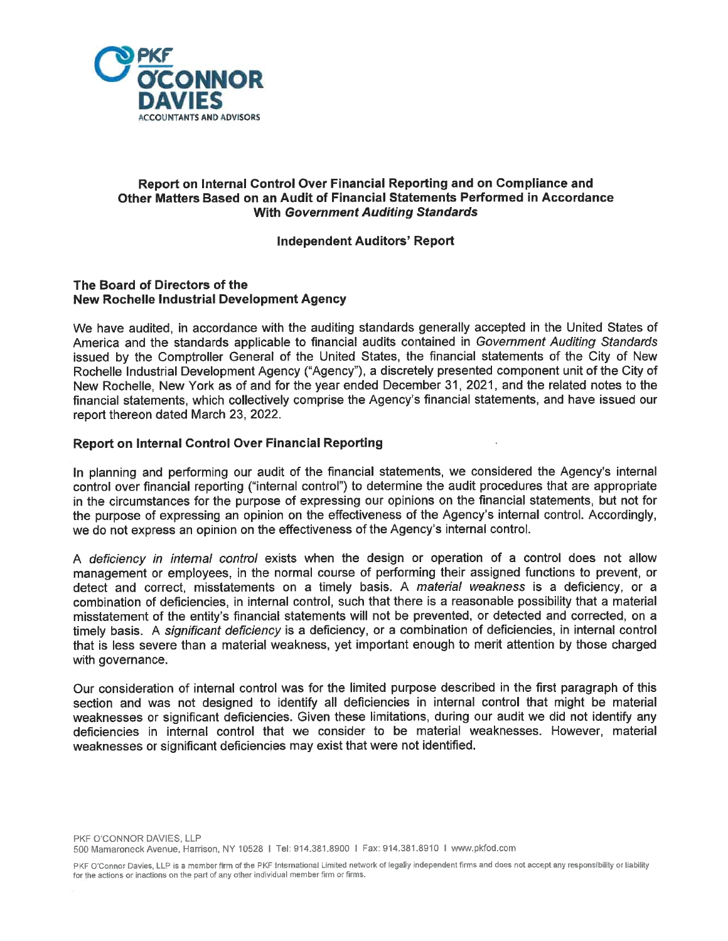

# Report on Internal Control Over Financial Reporting and on Compliance and Other Matters Based on an Audit of Financial Statements Performed in Accordance With Government Auditing Standards

### Independent Auditors' Report

### The Board of Directors of the New Rochelle Industrial Development Agency

We have audited, in accordance with the auditing standards generally accepted in the United States of America and the standards applicable to financial audits contained in Government Auditing Standards issued by the Comptroller General of the United States, the financial statements of the City of New Rochelle Industrial Development Agency ("Agency"), a discretely presented component unit of the City of New Rochelle, New York as of and for the year ended December 31, 2021, and the related notes to the financial statements, which collectively comprise the Agency's financial statements, and have issued our report thereon dated March 23, 2022.

### Report on Internal Control Over Financial Reporting

In planning and performing our audit of the financial statements, we considered the Agency's internal control over financial reporting ("internal control") to determine the audit procedures that are appropriate in the circumstances for the purpose of expressing our opinions on the financial statements, but not for the purpose of expressing an opinion on the effectiveness of the Agency's internal control. Accordingly, we do not express an opinion on the effectiveness of the Agency's internal control.

A deficiency in internal control exists when the design or operation of a control does not allow management or employees, in the normal course of performing their assigned functions to prevent, or detect and correct, misstatements on a timely basis. A material weakness is a deficiency, or a combination of deficiencies, in internal control, such that there is a reasonable possibility that a material misstatement of the entity's financial statements will not be prevented, or detected and corrected, on a timely basis. A significant deficiency is a deficiency, or a combination of deficiencies, in internal control that is less severe than a material weakness, yet important enough to merit attention by those charged with governance.

Our consideration of internal control was for the limited purpose described in the first paragraph of this section and was not designed to identify all deficiencies in internal control that might be material weaknesses or significant deficiencies. Given these limitations, during our audit we did not identify any deficiencies in internal control that we consider to be material weaknesses. However, material weaknesses or significant deficiencies may exist that were not identified.

PKF O'Connor Davies, LLP is a member firm of the PKF International Limited network of legally independent firms and does not accept any responsibility or liability for the actions or inactions on the part of any other individual member firm or firms.